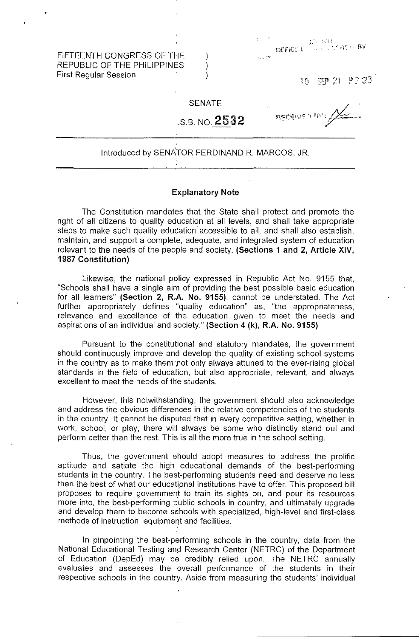FIFTEENTH CONGRESS OF THE REPUBLIC OF THE PHILIPPINES First Regular Session

|                                                         | <b>STREET AREA RY</b> |  |  |  |  |  |
|---------------------------------------------------------|-----------------------|--|--|--|--|--|
| $\mathcal{L}_{\mathbf{z}}$ , $\mathcal{L}_{\mathbf{z}}$ |                       |  |  |  |  |  |

 $\sqrt{2}$  21  $\sqrt{2}$  22 10

## SENATE

).

,.S.B. NO. 2532

neceive y m.

## Introduced by SENATOR FERDINAND R. MARCOS, JR.

## **Explanatory Note**

The Constitution mandates that the State shall protect and promote the right of all citizens to quality education at all levels, and shall take appropriate steps to make such quality education accessible to all, and shall also establish, maintain, and support a complete, adequate, and integrated system of education relevant to the needs of the people and society. **(Sections 1 and 2, Article XIV, 1987 Constitution)** 

Likewise, the national policy expressed in Republic Act No. 9155 that, "Schools shall have a single aim of providing the best possible basic education for all leamers" **(Section 2, R.A No. 9155),** cannot be understated. The Act further appropriately defines "quality education" as, "the appropriateness, relevance and excellence of the education given to meet the needs and aspirations of an individual and society." **(Section 4 (k), R.A. No. 9155)** 

Pursuant to the constitutional and statutory mandates, the government should continuously improve and develop the quality of existing school systems in the country as to make them not only always attuned to the ever-rising global standards in the field of education, but also appropriate, relevant, and always excellent to meet the needs of the students.

However, this notwithstanding, the government should also acknowledge and address the obvious differences in the relative competencies of the students in the country. It cannot be disputed that in every competitive setting, whether in work, school, or play, there will always be some who distinctly stand out and perform better than the rest. This is all the more true in the school setting.

Thus, the government should adopt measures to address the prolific aptitude and satiate the high educational demands of the best-performing students in the country. The best-performing students need and deserve no less than the best of what our educational institutions have to offer. This proposed bill proposes to require government to train its sights on, and pour its resources more into, the best-performing public schools in country, and ultimately upgrade and develop them to become schools with specialized, high-level and first-class methods of instruction, equipment and facilities,

In pinpointing the best-performing schools in the country, data from the National Educational Testing and Research Center (NETRC) of the Department of Education (DepEd) may be credibly relied upon, The NETRC annually evaluates and assesses the overall performance of the students in their respective schools in the country. Aside from measuring the students' individual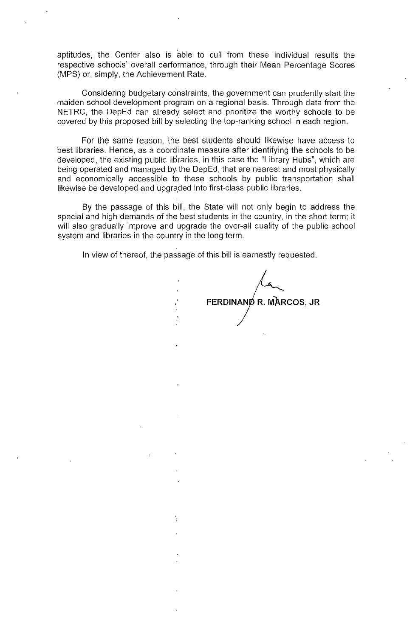aptitudes, the Center also is able to cull from these individual results the respective schools' overall performance, through their Mean Percentage Scores (MPS) or, simply, the Achievement Rate.

Considering budgetary constraints, the government can prudently start the maiden school development program on a regional basis. Through data from the NETRC, the DepEd can already select and prioritize the worthy schools to be covered by this proposed bill by selecting the top-ranking school in each region.

For the same reason, the best students should likewise have access to best libraries. Hence, as a coordinate measure after identifying the schools to be developed, the existing public libraries, in this case the "Library Hubs", which are being operated and managed by the DepEd, that are nearest and most physically and economically accessible to these schools by public transportation shall likewise be developed and upgraded into first-class public libraries.

By the passage of this bill, the State will not only begin to address the special and high demands of the best students in the country, in the short term; it will also gradually improve and upgrade the over-all quality of the public school system and libraries **in** the country in the long term.

In view of thereof, the passage of this bill is earnestly requested.

**FERDINAND R. MARCOS, JR**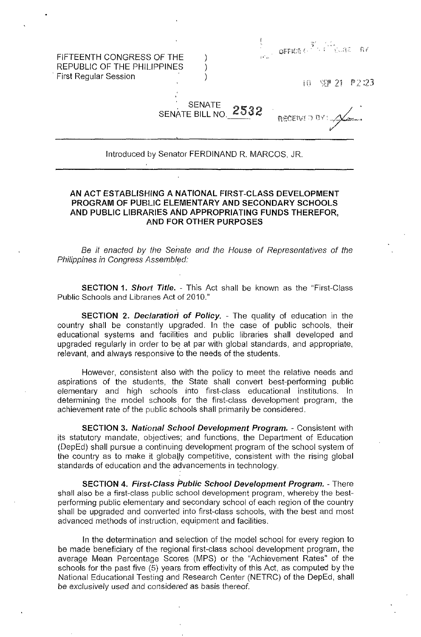FIFTEENTH CONGRESS OF THE REPUBLIC OF THE PHILIPPINES . First Regular Session

 $\mathbf{GFR}$ is (, $\mathbf{GFR}$  $\hat{K}$ 

**ACCENT** J OY

 $\frac{1}{2}$ NEP 21 P 2:23

**SENATE** SENATE BILL NO. 2532

) ) )

Introduced by Senator FERDINAND R. MARCOS, JR.

## AN ACT ESTABLISHING A NATIONAL FIRST-CLASS DEVELOPMENT PROGRAM OF PUBLIC ELEMENTARY AND SECONDARY SCHOOLS AND PUBLIC LIBRARIES AND APPROPRIATING FUNDS THEREFOR, AND FOR OTHER PURPOSES

Be it enacted by the Senate and the House of Representatives of the Philippines in Congress Assembled:

SECTION 1. Short Title. - This Act shall be known as the "First-Class" Public Schools and Libraries Act of 2010."

**SECTION 2. Declaration of Policy.** - The quality of education in the country shall be constantly upgraded. In the case of public schools, their educational systems and facilities and public libraries shall developed and upgraded regularly in order to be at par with global standards, and appropriate, relevant, and always responsive to the needs of the students.

However, consistent also with the policy to meet the relative needs and aspirations of the students, the State shall convert best-performing public elementary and high schools into first-class educational institutions. In determining the model schools for the first-class development program, the achievement rate of the public schools shall primarily be considered.

SECTION 3. National School Development Program. - Consistent with its statutory mandate, objectives; and functions, the Department of Education (DepEd) shall pursue a continuing development program of the school system of the country as to make it globally competitive, consistent with the rising global standards of education and the advancements in technology.

SECTION 4. First-Class Public School Development Program. - There shall also be a first-class public school development program, whereby the bestperforming public elementary and secondary school of each region of the country shall be upgraded and converted into first-class schools, with the best and most advanced methods of instruction, equipment and facilities.

In the determination and selection of the model school for every region to be made beneficiary of the regional first-class school development program, the average Mean Percentage Scores (MPS) or the "Achievement Rates" of the schools for the past five (5) years from effectivity of this Act, as computed by the National Educational Testing and Research Center (NETRC) of the DepEd, shall be exclusively used and considered as basis thereof.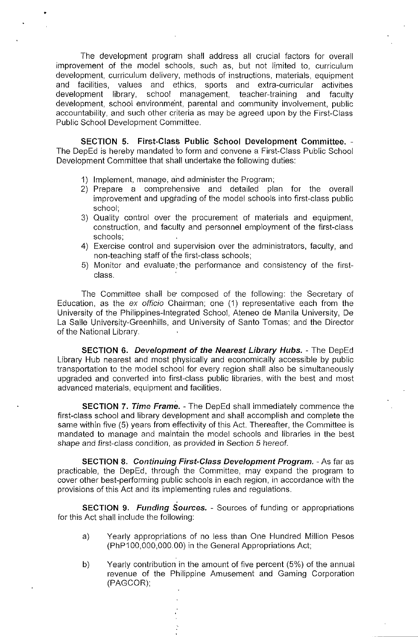The development program shall address all crucial factors for overall improvement of the model schools, such as, but not limited to, curriculum development, curriculum delivery, methods of instructions, materials, equipment and facilities, values and ethics, sports and extra-curricular activities development library, school management, teacher-training and faculty development, school environment, parental and community involvement, public accountability, and such other criteria as may be agreed upon by the First-Class Public School Development Committee.

SECTION 5. First-Class Public School Development Committee. - The DepEd is hereby mandated to form and convene a First-Class Public School Development Committee that shall undertake the following duties:

1) Implement, manage, and administer the Program;

•

- 2) Prepare a comprehensive and detailed plan for the overall improvement and upgrading of the model schools into first-class public school;
- 3) Quality control over the procurement of materials and equipment, construction, and faculty and personnel employment of the first-class schools;
- 4) Exercise control and supervision over the administrators, faculty, and non-teaching staff of the first-class schools;
- 5) Monitor and evaluate the performance and consistency of the firstclass.

The Committee shall be' composed of the following: the Secretary of Education, as the ex officio Chairman; one (1) representative each from the University of the Philippines-Integrated School, Ateneo de Manila University, De La Salle University-Greenhills, and University of Santo Tomas; and the Director of the National Library.

SECTION 6. Development of the Nearest Library Hubs. - The DepEd Library Hub nearest and most physically and economically accessible by public transportation to the model school for every region shall also be simultaneously upgraded and converted into first-class public libraries, with the best and most advanced materials, equipment and facilities.

**SECTION 7. Time Frame. - The DepEd shall immediately commence the** first-class school and library development and shall accomplish and complete the same within five (5) years from effectivity of this Act. Thereafter, the Committee is mandated to manage and maintain the model schools and libraries in the best shape and first-class condition, as provided in Section 5 hereof.

SECTION 8. Continuing First-Class Development Program. - As far as practicable, the DepEd, through the Committee, may expand the program to cover other best-performing public schools in each region, in accordance with the provisions of this Act and its implementing rules and regulations.

SECTION 9. Funding Sources. - Sources of funding or appropriations for this Act shall include the following:

- a) Yearly appropriations of no less than One Hundred Million Pesos (PhP100,OOO,OOO.OO) in the General Appropriations Act;
- b) Yearly contribution in the amount of five percent (5%) of the annual revenue of the Philippine Amusement and Gaming Corporation (PAGCOR);